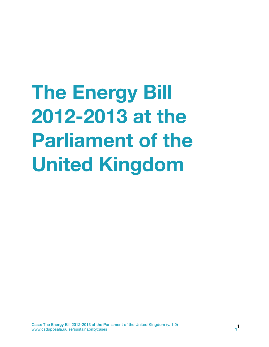**The Energy Bill 2012-2013 at the Parliament of the United Kingdom**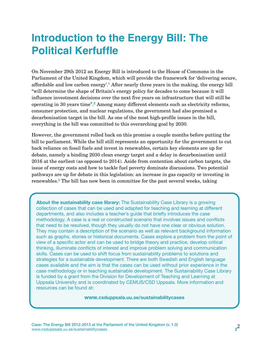# **Introduction to the Energy Bill: The Political Kerfuffle**

On November 29th 2012 an Energy Bill is introduced to the House of Commons in the Parliament of the United Kingdom, which will provide the framework for 'delivering secure, affordable and low carbon energy'.**[1](#page-8-0)** After nearly three years in the making, the energy bill "will determine the shape of Britain's energy policy for decades to come because it will influence investment decisions over the next five years on infrastructure that will still be operating in 30 years time".**[2](#page-8-1)** Among many different elements such as electricity reforms, consumer protection, and nuclear regulations, the government had also promised a decarbonisation target in the bill. As one of the most high-profile issues in the bill, everything in the bill was committed to this overarching goal by 2030.

However, the government rolled back on this promise a couple months before putting the bill to parliament. While the bill still represents an opportunity for the government to cut back reliance on fossil fuels and invest in renewables, certain key elements are up for debate, namely a binding 2030 clean energy target and a delay in decarbonisation until 2016 at the earliest (as opposed to 2014). Aside from contention about carbon targets, the issue of energy costs and how to tackle fuel poverty dominate discussions. Two potential pathways are up for debate in this legislation: an increase in gas capacity or investing in renewables.**[3](#page-8-2)** The bill has now been in committee for the past several weeks, taking

**About the sustainability case library:** The Sustainability Case Library is a growing collection of cases that can be used and adapted for teaching and learning at different departments, and also includes a teacher's guide that briefly introduces the case methodology. A case is a real or constructed scenario that involves issues and conflicts that need to be resolved, though they usually do not have one clear or obvious solution. They may contain a description of the scenario as well as relevant background information such as graphs, stories or historical documents. Cases explore a problem from the point of view of a specific actor and can be used to bridge theory and practice, develop critical thinking, illuminate conflicts of interest and improve problem solving and communication skills. Cases can be used to shift focus from sustainability problems to solutions and strategies for a sustainable development. There are both Swedish and English language cases available and the aim is that the cases can be used without prior experience in the case methodology or in teaching sustainable development. The Sustainability Case Library is funded by a grant from the Division for Development of Teaching and Learning at Uppsala University and is coordinated by CEMUS/CSD Uppsala. More information and resources can be found at:

#### **www.csduppsala.uu.se/sustainabilitycases**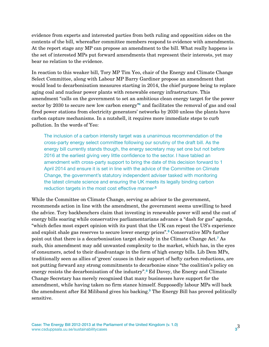evidence from experts and interested parties from both ruling and opposition sides on the contents of the bill, whereafter committee members respond to evidence with amendments. At the report stage any MP can propose an amendment to the bill. What really happens is the set of interested MPs put forward amendments that represent their interests, yet may bear no relation to the evidence.

In reaction to this weaker bill, Tory MP Tim Yeo, chair of the Energy and Climate Change Select Committee, along with Labour MP Barry Gardiner propose an amendment that would lead to decarbonisation measures starting in 2014, the chief purpose being to replace aging coal and nuclear power plants with renewable energy infrastructure. This amendment "calls on the government to set an ambitious clean energy target for the power sector by 2030 to secure new low carbon energy"**[4](#page-8-3)** and facilitates the removal of gas and coal fired power stations from electricity generators' networks by 2030 unless the plants have carbon capture mechanisms. In a nutshell, it requires more immediate steps to curb pollution. In the words of Yeo:

The inclusion of a carbon intensity target was a unanimous recommendation of the cross-party energy select committee following our scrutiny of the draft bill. As the energy bill currently stands though, the energy secretary may set one but not before 2016 at the earliest giving very little confidence to the sector. I have tabled an amendment with cross-party support to bring the date of this decision forward to 1 April 2014 and ensure it is set in line with the advice of the Committee on Climate Change, the government's statutory independent adviser tasked with monitoring the latest climate science and ensuring the UK meets its legally binding carbon reduction targets in the most cost effective manner**[.5](#page-8-4)**

While the Committee on Climate Change, serving as advisor to the government, recommends action in line with the amendment, the government seems unwilling to heed the advice. Tory backbenchers claim that investing in renewable power will send the cost of energy bills soaring while conservative parliamentarians advance a "dash for gas" agenda, "which defies most expert opinion with its punt that the UK can repeat the US's experience and exploit shale gas reserves to secure lower energy prices".**[6](#page-8-5)** Conservative MPs further point out that there is a decarbonisation target already in the Climate Change Act.**[7](#page-8-6)** As such, this amendment may add unwanted complexity to the market, which has, in the eyes of consumers, acted to their disadvantage in the form of high energy bills. Lib Dem MPs, traditionally seen as allies of 'green' causes in their support of hefty carbon reductions, are not putting forward any strong commitments to decarbonise since "the coalition's policy on energy resists the decarbonisation of the industry".**[8](#page-8-7)** Ed Davey, the Energy and Climate Change Secretary has merely recognised that many businesses have support for the amendment, while having taken no firm stance himself. Supposedly labour MPs will back the amendment after Ed Miliband gives his backing.**[9](#page-8-8)** The Energy Bill has proved politically sensitive.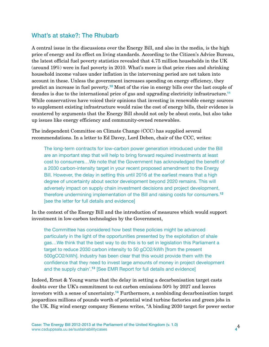#### What's at stake?: The Rhubarb

A central issue in the discussions over the Energy Bill, and also in the media, is the high price of energy and its effect on living standards. According to the Citizen's Advice Bureau, the latest official fuel poverty statistics revealed that 4.75 million households in the UK (around 19%) were in fuel poverty in 2010. What's more is that price rises and shrinking household income values under inflation in the intervening period are not taken into account in these. Unless the government increases spending on energy efficiency, they predict an increase in fuel poverty.**[10](#page-8-9)** Most of the rise in energy bills over the last couple of decades is due to the international price of gas and upgrading electricity infrastructure.**[11](#page-8-10)** While conservatives have voiced their opinions that investing in renewable energy sources to supplement existing infrastructure would raise the cost of energy bills, their evidence is countered by arguments that the Energy Bill should not only be about costs, but also take up issues like energy efficiency and community-owned renewables.

The independent Committee on Climate Change (CCC) has supplied several recommendations. In a letter to Ed Davey, Lord Deben, chair of the CCC, writes:

The long-term contracts for low-carbon power generation introduced under the Bill are an important step that will help to bring forward required investments at least cost to consumers…We note that the Government has acknowledged the benefit of a 2030 carbon-intensity target in your recent proposed amendment to the Energy Bill. However, the delay in setting this until 2016 at the earliest means that a high degree of uncertainty about sector development beyond 2020 remains. This will adversely impact on supply chain investment decisions and project development, therefore undermining implementation of the Bill and raising costs for consumers.**[12](#page-8-11)** [see the letter for full details and evidence]

In the context of the Energy Bill and the introduction of measures which would support investment in low-carbon technologies by the Government,

the Committee has considered how best these policies might be advanced particularly in the light of the opportunities presented by the exploitation of shale gas…We think that the best way to do this is to set in legislation this Parliament a target to reduce 2030 carbon intensity to 50 gCO2/kWh [from the present 500gCO2/kWh]. Industry has been clear that this would provide them with the confidence that they need to invest large amounts of money in project development and the supply chain'.**[13](#page-8-12)** [See EMR Report for full details and evidence]

Indeed, Ernst & Young warns that the delay in setting a decarbonisation target casts doubts over the UK's commitment to cut carbon emissions 50% by 2027 and leaves investors with a sense of uncertainty.**[14](#page-9-0)** Furthermore, a nonbinding decarbonisation target jeopardizes millions of pounds worth of potential wind turbine factories and green jobs in the UK. Big wind energy company Siemens writes, "A binding 2030 target for power sector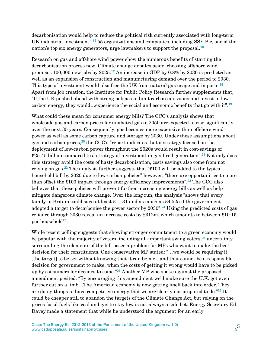decarbonisation would help to reduce the political risk currently associated with long-term UK industrial investment".**[15](#page-9-1)** 55 organizations and companies, including SSE Plc, one of the nation's top six energy generators, urge lawmakers to support the proposal.**[16](#page-9-2)**

Research on gas and offshore wind power show the numerous benefits of starting the decarbonisation process now. Climate change debates aside, choosing offshore wind promises 100,000 new jobs by 2025.**[17](#page-9-3)** An increase in GDP by 0.8% by 2030 is predicted as well as an expansion of construction and manufacturing demand over the period to 2030. This type of investment would also free the UK from natural gas usage and imports.**[18](#page-9-4)** Apart from job creation, the Institute for Public Policy Research further supplements that, "If the UK pushed ahead with strong policies to limit carbon emissions and invest in lowcarbon energy, they would…experience the social and economic benefits that go with it".**[19](#page-9-5)**

What could these mean for consumer energy bills? The CCC's analysis shows that wholesale gas and carbon prices for unabated gas to 2050 are expected to rise significantly over the next 35 years. Consequently, gas becomes more expensive than offshore wind power as well as some carbon capture and storage by 2030. Under these assumptions about gas and carbon prices,**[20](#page-9-6)** the CCC's "report indicates that a strategy focused on the deployment of low-carbon power throughout the 2020s would result in cost-savings of £25-45 billion compared to a strategy of investment in gas-fired generation".**[21](#page-9-7)** Not only does this strategy avoid the costs of hasty decarbonisation, costs savings also come from not relying on gas.**[22](#page-9-8)** The analysis further suggests that "£100 will be added to the typical household bill by 2020 due to low-carbon policies" however, "there are opportunities to more than offset the £100 impact through energy efficiency improvements".**[23](#page-9-9)** The CCC also believes that these policies will prevent further increasing energy bills as well as help mitigate dangerous climate change. Over the long run, the analysis "shows that every family in Britain could save at least £1,131 and as much as £4,525 if the government adopted a target to decarbonise the power sector by 2030".**[24](#page-9-10)** Using the predicted costs of gas reliance through 2030 reveal an increase costs by £312m, which amounts to between £10-15 per household**[25](#page-9-11)**.

While recent polling suggests that showing stronger commitment to a green economy would be popular with the majority of voters, including all-important swing voters,**[26](#page-9-12)** uncertainty surrounding the elements of the bill poses a problem for MPs who want to make the best decision for their constituents. One conservative MP stated: "…we would be requiring it [the target] to be set without knowing that it can be met, and that cannot be a responsible decision for government to make, when the costs of getting it wrong would have to be picked up by consumers for decades to come."**[27](#page-9-13)** Another MP who spoke against the proposed amendment posited: "By encouraging this amendment we'd make sure the U.K. got even further out on a limb…The American economy is now getting itself back into order. They are doing things to have competitive energy that we are clearly not prepared to do."**[28](#page-9-14)** It could be cheaper still to abandon the targets of the Climate Change Act, but relying on the prices fossil fuels like coal and gas to stay low is not always a safe bet. Energy Secretary Ed Davey made a statement that while he understood the argument for an early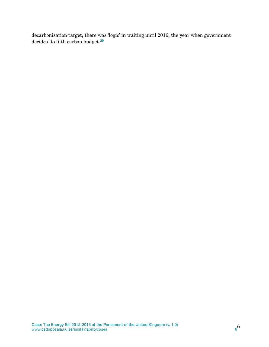decarbonisation target, there was 'logic' in waiting until 2016, the year when government decides its fifth carbon budget.**[29](#page-9-15)**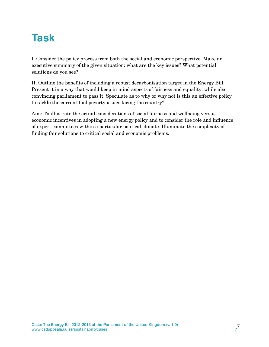# **Task**

I. Consider the policy process from both the social and economic perspective. Make an executive summary of the given situation: what are the key issues? What potential solutions do you see?

II. Outline the benefits of including a robust decarbonisation target in the Energy Bill. Present it in a way that would keep in mind aspects of fairness and equality, while also convincing parliament to pass it. Speculate as to why or why not is this an effective policy to tackle the current fuel poverty issues facing the country?

Aim: To illustrate the actual considerations of social fairness and wellbeing versus economic incentives in adopting a new energy policy and to consider the role and influence of expert committees within a particular political climate. Illuminate the complexity of finding fair solutions to critical social and economic problems.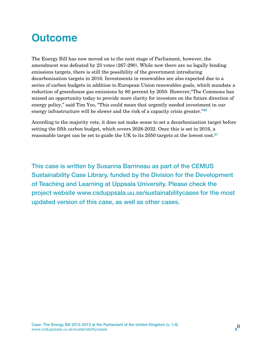# **Outcome**

The Energy Bill has now moved on to the next stage of Parliament, however, the amendment was defeated by 23 votes (267-290). While now there are no legally binding emissions targets, there is still the possibility of the government introducing decarbonisation targets in 2016. Investments in renewables are also expected due to a series of carbon budgets in addition to European Union renewables goals, which mandate a reduction of greenhouse gas emissions by 80 percent by 2050. However,"The Commons has missed an opportunity today to provide more clarity for investors on the future direction of energy policy," said Tim Yeo, "This could mean that urgently needed investment in our energy infrastructure will be slower and the risk of a capacity crisis greater."**[30](#page-9-16)**

According to the majority vote, it does not make sense to set a decarbonisation target before setting the fifth carbon budget, which covers 2028-2032. Once this is set in 2016, a reasonable target can be set to guide the UK to its 2050 targets at the lowest cost.**[31](#page-9-17)**

This case is written by Susanna Barrineau as part of the CEMUS Sustainability Case Library, funded by the Division for the Development of Teaching and Learning at Uppsala University. Please check the project website www.csduppsala.uu.se/sustainabilitycases for the most updated version of this case, as well as other cases.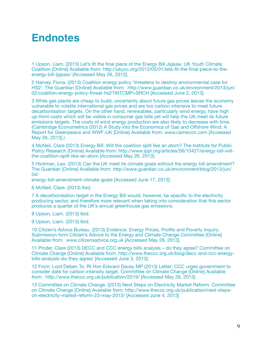### **Endnotes**

<span id="page-8-0"></span>1 Upson, Liam. (2013) Let's fit the final piece of the Energy Bill Jigsaw. UK Youth Climate Coalition [Online] Available from: http://ukycc.org/2013/05/01/lets-fit-the-final-piece-to-theenergy-bill-jigsaw/ [Accessed May 26, 2013].

<span id="page-8-1"></span>2 Harvey, Fiona. (2013) Coalition energy policy 'threatens to destroy environmental case for HS2'. The Guardian [Online] Available from: http://www.guardian.co.uk/environment/2013/jun/ 02/coalition-energy-policy-threat-hs2?INTCMP=SRCH [Accessed June 2, 2013].

<span id="page-8-2"></span>3 While gas plants are cheap to build, uncertainty about future gas prices leaves the economy vulnerable to volatile international gas prices and are too carbon intensive to meet future decarbonisation targets. On the other hand, renewables, particularly wind energy, have high up-front costs which will be visible in consumer gas bills yet will help the UK meet its future emissions targets. The costs of wind energy production are also likely to decrease with time. (Cambridge Econometrics (2012) A Study into the Economics of Gas and Offshore Wind: A Report for Greenpeace and WWF-UK [Online] Available from: www.camecon.com [Accessed May 26, 2013].)

<span id="page-8-3"></span>4 McNeil, Clare (2013) Energy Bill: Will the coalition split like an atom? The Institute for Public Policy Research [Online] Available from: http://www.ippr.org/articles/56/10427/energy-bill-willthe-coalition-split-like-an-atom [Accessed May 26, 2013].

<span id="page-8-4"></span>5 Hickman, Leo. (2013) Can the UK meet its climate goals without the energy bill amendment? The Guardian [Online] Available from: http://www.guardian.co.uk/environment/blog/2013/jun/ 04/

energy-bill-amendment-climate-goals [Accessed June 17, 2013].

<span id="page-8-5"></span>6 McNeil, Clare. (2013) Ibid.

<span id="page-8-6"></span>7 A decarbonisation target in the Energy Bill would, however, be specific to the electricity producing sector, and therefore more relevant when taking into consideration that this sector produces a quarter of the UK's annual greenhouse gas emissions.

<span id="page-8-7"></span>8 Upson, Liam. (2013) Ibid.

<span id="page-8-8"></span>9 Upson, Liam. (2013) Ibid.

<span id="page-8-9"></span>10 Citizen's Advice Bureau. (2013) Evidence: Energy Prices, Profits and Poverty Inquiry. Submission form Citizen's Advice to the Energy and Climate Change Committee [Online] Available from: www.citizensadvice.org.uk [Accessed May 26, 2013].

<span id="page-8-10"></span>11 Pinder, Clare (2013) DECC and CCC energy bills analysis – do they agree? Committee on Climate Change [Online] Available from: http://www.theccc.org.uk/blog/decc-and-ccc-energybills-analysis-do-they-agree/ [Accessed June 3, 2013].

<span id="page-8-11"></span>12 From: Lord Deben To: Rt Hon Edward Davey MP (2013) Letter: CCC urges government to consider date for carbon intensity target. Committee on Climate Change [Online] Available from: http://www.theccc.org.uk/publication/2519/ [Accessed May 26, 2013]

<span id="page-8-12"></span>13 Committee on Climate Change. (2013) Next Steps on Electricity Market Reform. Committee on Climate Change [Online] Available from: http://www.theccc.org.uk/publication/next-stepson-electricity-market-reform-23-may-2013/ [Accessed June 4, 2013]